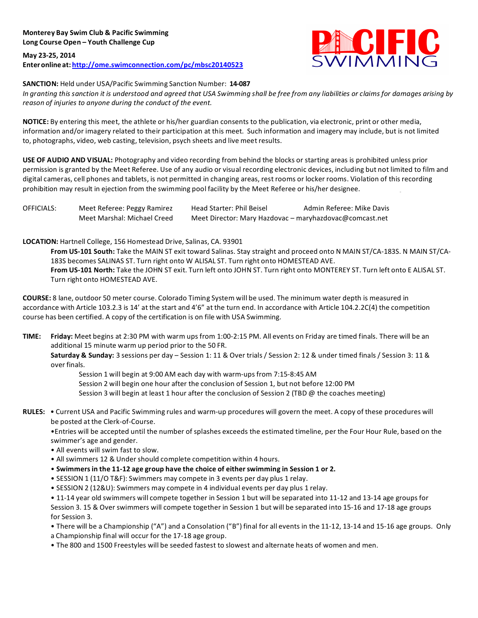**May 23-25, 2014 Enteronline at: http://ome.swimconnection.com/pc/mbsc20140523**



## **SANCTION:** Held under USA/Pacific Swimming Sanction Number: **14-087**

In granting this sanction it is understood and agreed that USA Swimming shall be free from any liabilities or claims for damages arising by *reason* of *injuries* to anyone during the conduct of the event.

**NOTICE:** By entering this meet, the athlete or his/her guardian consents to the publication, via electronic, print or other media, information and/or imagery related to their participation at this meet. Such information and imagery may include, but is not limited to, photographs, video, web casting, television, psych sheets and live meet results.

**USE OF AUDIO AND VISUAL:** Photography and video recording from behind the blocks or starting areas is prohibited unless prior permission is granted by the Meet Referee. Use of any audio or visual recording electronic devices, including but not limited to film and digital cameras, cell phones and tablets, is not permitted in changing areas, rest rooms or locker rooms. Violation of this recording prohibition may result in ejection from the swimming pool facility by the Meet Referee or his/her designee.

| OFFICIALS: | Meet Referee: Peggy Ramirez | Head Starter: Phil Beisel                               | Admin Referee: Mike Davis |  |  |
|------------|-----------------------------|---------------------------------------------------------|---------------------------|--|--|
|            | Meet Marshal: Michael Creed | Meet Director: Mary Hazdovac - maryhazdovac@comcast.net |                           |  |  |

## **LOCATION:** Hartnell College, 156 Homestead Drive, Salinas, CA. 93901

From US-101 South: Take the MAIN ST exit toward Salinas. Stay straight and proceed onto N MAIN ST/CA-183S. N MAIN ST/CA-183S becomes SALINAS ST. Turn right onto W ALISAL ST. Turn right onto HOMESTEAD AVE. From US-101 North: Take the JOHN ST exit. Turn left onto JOHN ST. Turn right onto MONTEREY ST. Turn left onto E ALISAL ST. Turn right onto HOMESTEAD AVE.

**COURSE:** 8 lane, outdoor 50 meter course. Colorado Timing System will be used. The minimum water depth is measured in accordance with Article 103.2.3 is 14' at the start and 4'6" at the turn end. In accordance with Article 104.2.2C(4) the competition course has been certified. A copy of the certification is on file with USA Swimming.

**TIME:** Friday: Meet begins at 2:30 PM with warm ups from 1:00-2:15 PM. All events on Friday are timed finals. There will be an additional 15 minute warm up period prior to the 50 FR.

**Saturday & Sunday:** 3 sessions per day – Session 1: 11 & Over trials / Session 2: 12 & under timed finals / Session 3: 11 & over finals.

Session 1 will begin at 9:00 AM each day with warm-ups from 7:15-8:45 AM

Session 2 will begin one hour after the conclusion of Session 1, but not before 12:00 PM

Session 3 will begin at least 1 hour after the conclusion of Session 2 (TBD @ the coaches meeting)

RULES: . Current USA and Pacific Swimming rules and warm-up procedures will govern the meet. A copy of these procedures will be posted at the Clerk-of-Course.

•Entries will be accepted until the number of splashes exceeds the estimated timeline, per the Four Hour Rule, based on the swimmer's age and gender.

- All events will swim fast to slow.
- All swimmers 12 & Under should complete competition within 4 hours.
- **Swimmersin the 11-12 age group have the choice of either swimming in Session 1 or 2.**
- SESSION 1 (11/O T&F): Swimmers may compete in 3 events per day plus 1 relay.
- SESSION 2 (12&U): Swimmers may compete in 4 individual events per day plus 1 relay.

• 11-14 year old swimmers will compete together in Session 1 but will be separated into 11-12 and 13-14 age groups for Session 3. 15 & Over swimmers will compete together in Session 1 but will be separated into 15-16 and 17-18 age groups for Session 3.

- There will be a Championship ("A") and a Consolation ("B") final for all events in the 11-12, 13-14 and 15-16 age groups. Only
- a Championship final will occur for the 17-18 age group.
- The 800 and 1500 Freestyles will be seeded fastest to slowest and alternate heats of women and men.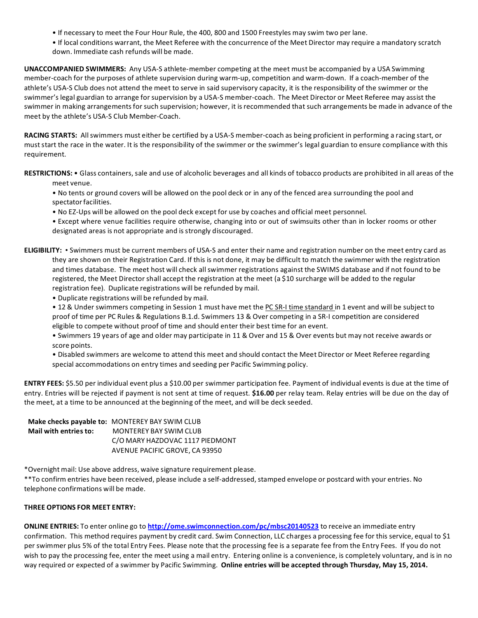- If necessary to meet the Four Hour Rule, the 400, 800 and 1500 Freestyles may swim two per lane.
- If local conditions warrant, the Meet Referee with the concurrence of the Meet Director may require a mandatory scratch down. Immediate cash refunds will be made.

**UNACCOMPANIED SWIMMERS:** Any USA-S athlete-member competing at the meet must be accompanied by a USA Swimming member-coach for the purposes of athlete supervision during warm-up, competition and warm-down. If a coach-member of the athlete's USA-S Club does not attend the meet to serve in said supervisory capacity, it is the responsibility of the swimmer or the swimmer's legal guardian to arrange for supervision by a USA-S member-coach. The Meet Director or Meet Referee may assist the swimmer in making arrangements for such supervision; however, it is recommended that such arrangements be made in advance of the meet by the athlete's USA-S Club Member-Coach.

**RACING STARTS:** Allswimmers must either be certified by a USA-S member-coach as being proficient in performing a racing start, or must start the race in the water. It is the responsibility of the swimmer or the swimmer's legal guardian to ensure compliance with this requirement.

RESTRICTIONS: • Glass containers, sale and use of alcoholic beverages and all kinds of tobacco products are prohibited in all areas of the meet venue.

• No tents or ground covers will be allowed on the pool deck or in any of the fenced area surrounding the pool and spectator facilities.

• No EZ-Ups will be allowed on the pool deck except for use by coaches and official meet personnel.

- Except where venue facilities require otherwise, changing into or out of swimsuits other than in locker rooms or other designated areas is not appropriate and is strongly discouraged.
- **ELIGIBILITY:** Swimmers must be current members of USA-S and enter their name and registration number on the meet entry card as they are shown on their Registration Card. If this is not done, it may be difficult to match the swimmer with the registration and times database. The meet host will check all swimmer registrations against the SWIMS database and if not found to be registered, the Meet Director shall accept the registration at the meet (a \$10 surcharge will be added to the regular registration fee). Duplicate registrations will be refunded by mail.
	- Duplicate registrations will be refunded by mail.

• 12 & Under swimmers competing in Session 1 must have met the PC SR-I time standard in 1 event and will be subject to proof of time per PC Rules & Regulations B.1.d. Swimmers 13 & Over competing in a SR-I competition are considered eligible to compete without proof of time and should enter their best time for an event.

• Swimmers 19 years of age and older may participate in 11 & Over and 15 & Over events but may not receive awards or score points.

• Disabled swimmers are welcome to attend this meet and should contact the Meet Director or Meet Referee regarding special accommodations on entry times and seeding per Pacific Swimming policy.

**ENTRY FEES:** \$5.50 per individual event plus a \$10.00 per swimmer participation fee. Payment of individual events is due at the time of entry. Entries will be rejected if payment is not sent at time of request. **\$16.00** per relay team. Relay entries will be due on the day of the meet, at a time to be announced at the beginning of the meet, and will be deck seeded.

|                       | Make checks payable to: MONTEREY BAY SWIM CLUB |
|-----------------------|------------------------------------------------|
| Mail with entries to: | MONTEREY BAY SWIM CLUB                         |
|                       | C/O MARY HAZDOVAC 1117 PIEDMONT                |
|                       | AVENUE PACIFIC GROVE, CA 93950                 |

\*Overnight mail: Use above address, waive signature requirement please.

\*\*To confirm entries have been received, please include a self-addressed, stamped envelope or postcard with your entries. No telephone confirmations will be made.

## **THREE OPTIONS FOR MEET ENTRY:**

**ONLINE ENTRIES:** To enter online go to **http://ome.swimconnection.com/pc/mbsc20140523** to receive an immediate entry confirmation. This method requires payment by credit card. Swim Connection, LLC charges a processing fee for this service, equal to \$1 per swimmer plus 5% of the total Entry Fees. Please note that the processing fee is a separate fee from the Entry Fees. If you do not wish to pay the processing fee, enter the meet using a mail entry. Entering online is a convenience, is completely voluntary, and is in no way required or expected of a swimmer by Pacific Swimming. Online entries will be accepted through Thursday, May 15, 2014.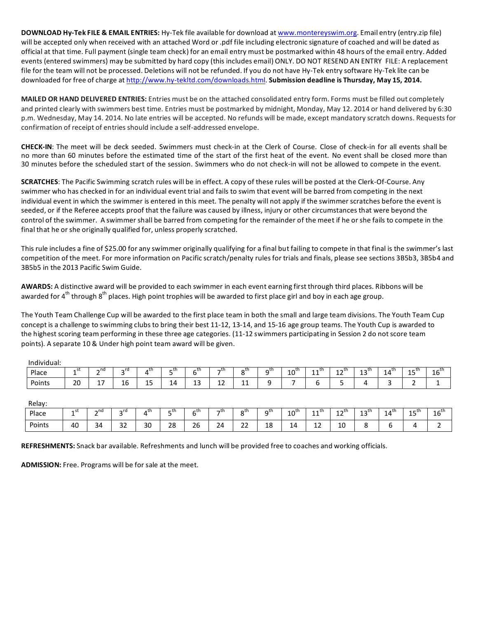**DOWNLOAD Hy-Tek FILE & EMAIL ENTRIES:** Hy-Tek file available for download at www.montereyswim.org. Email entry (entry.zip file) will be accepted only when received with an attached Word or .pdf file including electronic signature of coached and will be dated as official at that time. Full payment (single team check) for an email entry must be postmarked within 48 hours of the email entry. Added events (entered swimmers) may be submitted by hard copy (this includes email) ONLY. DO NOT RESEND AN ENTRY FILE: A replacement file for the team will not be processed. Deletions will not be refunded. If you do not have Hy-Tek entry software Hy-Tek lite can be downloaded for free of charge at http://www.hy-tekltd.com/downloads.html. Submission deadline is Thursday, May 15, 2014.

**MAILED OR HAND DELIVERED ENTRIES:** Entries must be on the attached consolidated entry form. Forms must be filled out completely and printed clearly with swimmers best time. Entries must be postmarked by midnight, Monday, May 12. 2014 or hand delivered by 6:30 p.m. Wednesday, May 14. 2014. No late entries will be accepted. No refunds will be made, except mandatory scratch downs. Requests for confirmation of receipt of entries should include a self-addressed envelope.

**CHECK-IN**: The meet will be deck seeded. Swimmers must check-in at the Clerk of Course. Close of check-in for all events shall be no more than 60 minutes before the estimated time of the start of the first heat of the event. No event shall be closed more than 30 minutes before the scheduled start of the session. Swimmers who do not check-in will not be allowed to compete in the event.

**SCRATCHES**: The Pacific Swimming scratch rules will be in effect. A copy of these rules will be posted at the Clerk-Of-Course. Any swimmer who has checked in for an individual event trial and fails to swim that event will be barred from competing in the next individual event in which the swimmer is entered in this meet. The penalty will not apply if the swimmer scratches before the event is seeded, or if the Referee accepts proof that the failure was caused by illness, injury or other circumstances that were beyond the control of the swimmer. A swimmer shall be barred from competing for the remainder of the meet if he or she fails to compete in the final that he or she originally qualified for, unless properly scratched.

This rule includes a fine of \$25.00 for any swimmer originally qualifying for a final but failing to compete in that final is the swimmer's last competition of the meet. For more information on Pacific scratch/penalty rules for trials and finals, please see sections 3B5b3, 3B5b4 and 3B5b5 in the 2013 Pacific Swim Guide.

AWARDS: A distinctive award will be provided to each swimmer in each event earning first through third places. Ribbons will be awarded for 4<sup>th</sup> through 8<sup>th</sup> places. High point trophies will be awarded to first place girl and boy in each age group.

The Youth Team Challenge Cup will be awarded to the first place team in both the small and large team divisions. The Youth Team Cup concept is a challenge to swimming clubs to bring their best 11-12, 13-14, and 15-16 age group teams. The Youth Cup is awarded to the highest scoring team performing in these three age categories. (11-12 swimmers participating in Session 2 do not score team points). A separate 10 & Under high point team award will be given.

| .<br>Individual: |                   |                   |                                |                    |          |          |             |                           |                 |                  |                    |            |                                    |                  |            |                 |
|------------------|-------------------|-------------------|--------------------------------|--------------------|----------|----------|-------------|---------------------------|-----------------|------------------|--------------------|------------|------------------------------------|------------------|------------|-----------------|
| Place            | 2 J L<br><b>.</b> | $\sim$ nd         | ∽rd<br>-                       | uth.               | _th<br>۰ | ∼th      | —th         | $\sigma^{\text{th}}$<br>◡ | ∽⊾th<br>ι.<br>۰ | $10^{\text{th}}$ | th می<br><b>++</b> | ⊿ ~th<br>ᆠ | $\sim$ $\mathsf{u}\mathsf{u}$<br>ᅩ | $14^{\text{th}}$ | $-th$<br>ᅩ | $\sim$ th<br>ΤO |
| Points           | 20                | . –<br><b>. .</b> | $\overline{\phantom{a}}$<br>16 | $\sim$ $\sim$<br>ᅩ | 14       | 12<br>د⊥ | $\sim$<br>ᆠ | <b>++</b>                 |                 |                  |                    | ۔          | ,,                                 | ∽<br>-           | -          |                 |

Relay:

| <b>Reldy:</b> |                  |                |                        |     |                    |                    |     |                      |                               |                  |                                 |                      |                         |                                       |                      |                         |
|---------------|------------------|----------------|------------------------|-----|--------------------|--------------------|-----|----------------------|-------------------------------|------------------|---------------------------------|----------------------|-------------------------|---------------------------------------|----------------------|-------------------------|
| Place         | <b>A</b> SL<br>- | $\sim$ nd<br>- | $\sim$ rd              | .th | – th               | ∕th<br>∽           | —th | $\sigma^{\text{th}}$ | $\mathsf{\sim}^{\mathsf{th}}$ | $10^{\text{th}}$ | $\overline{a}$ th<br><b>. .</b> | $10^{-1}$<br>ᆠ       | $1.7$ $\cup$<br><b></b> | th م<br>$\overline{\phantom{a}}$<br>- | ⊿ – th<br><b>. .</b> | 4 <sup>111</sup><br>16. |
| Points        | 40               | $\sim$<br>34   | $\sim$<br>ےر<br>$\sim$ | 30  | າດ<br>ەء<br>$\sim$ | $\sim$<br>26<br>__ | 24  | $\sim$<br>24         | 10<br>ΤO<br>$\sim$            | 14<br>--         | $\sim$<br>--                    | 1 <sup>C</sup><br>⊥∪ |                         | <br>ັ                                 |                      | -                       |

REFRESHMENTS: Snack bar available. Refreshments and lunch will be provided free to coaches and working officials.

ADMISSION: Free. Programs will be for sale at the meet.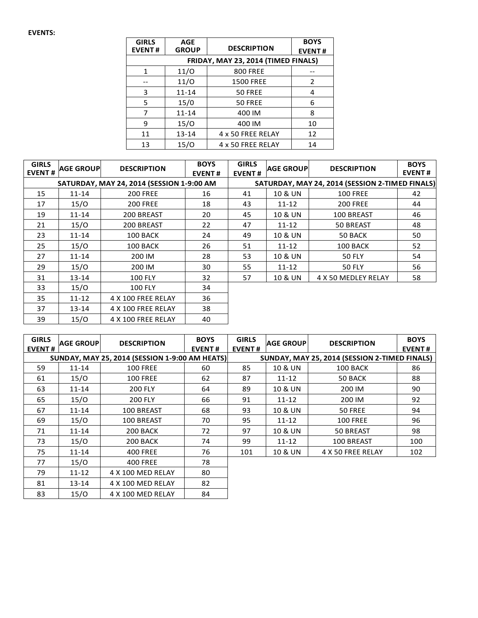| <b>GIRLS</b><br><b>EVENT#</b>       | <b>AGE</b><br><b>GROUP</b> | <b>DESCRIPTION</b> | <b>BOYS</b><br><b>EVENT#</b> |  |  |  |  |  |  |  |  |
|-------------------------------------|----------------------------|--------------------|------------------------------|--|--|--|--|--|--|--|--|
| FRIDAY, MAY 23, 2014 (TIMED FINALS) |                            |                    |                              |  |  |  |  |  |  |  |  |
| 1                                   | 11/O                       |                    |                              |  |  |  |  |  |  |  |  |
|                                     | 11/O                       | <b>1500 FREE</b>   | 2                            |  |  |  |  |  |  |  |  |
| 3                                   | $11 - 14$                  | 50 FREE            | 4                            |  |  |  |  |  |  |  |  |
| 5                                   | 15/0                       | 50 FREE            | 6                            |  |  |  |  |  |  |  |  |
| 7                                   | $11 - 14$                  | 400 IM             | 8                            |  |  |  |  |  |  |  |  |
| 9                                   | 15/O                       | 400 IM             | 10                           |  |  |  |  |  |  |  |  |
| 11                                  | $13 - 14$                  | 4 x 50 FREE RELAY  | 12                           |  |  |  |  |  |  |  |  |
| 13                                  | 15/0                       | 4 x 50 FREE RELAY  | 14                           |  |  |  |  |  |  |  |  |

| <b>GIRLS</b><br><b>EVENT#</b> | <b>AGE GROUP</b> | <b>DESCRIPTION</b>                        | <b>BOYS</b><br><b>EVENT#</b> | <b>GIRLS</b><br><b>EVENT#</b> | <b>AGE GROUPI</b> | <b>DESCRIPTION</b>                              | <b>BOYS</b><br><b>EVENT#</b> |
|-------------------------------|------------------|-------------------------------------------|------------------------------|-------------------------------|-------------------|-------------------------------------------------|------------------------------|
|                               |                  | SATURDAY, MAY 24, 2014 (SESSION 1-9:00 AM |                              |                               |                   | SATURDAY, MAY 24, 2014 (SESSION 2-TIMED FINALS) |                              |
| 15                            | $11 - 14$        | <b>200 FREE</b>                           | 16                           | 41                            | 10 & UN           | <b>100 FREE</b>                                 | 42                           |
| 17                            | 15/O             | <b>200 FREE</b>                           | 18                           | 43                            | $11 - 12$         | <b>200 FREE</b>                                 | 44                           |
| 19                            | $11 - 14$        | 200 BREAST                                | 20                           | 45                            | 10 & UN           | 100 BREAST                                      | 46                           |
| 21                            | 15/O             | 200 BREAST                                | 22                           | 47                            | $11 - 12$         | <b>50 BREAST</b>                                | 48                           |
| 23                            | $11 - 14$        | 100 BACK                                  | 24                           | 49                            | 10 & UN           | 50 BACK                                         | 50                           |
| 25                            | 15/O             | 100 BACK                                  | 26                           | 51                            | 11-12             | 100 BACK                                        | 52                           |
| 27                            | $11 - 14$        | 200 IM                                    | 28                           | 53                            | 10 & UN           | <b>50 FLY</b>                                   | 54                           |
| 29                            | 15/O             | 200 IM                                    | 30                           | 55                            | $11 - 12$         | <b>50 FLY</b>                                   | 56                           |
| 31                            | 13-14            | <b>100 FLY</b>                            | 32                           | 57                            | 10 & UN           | 4 X 50 MEDLEY RELAY                             | 58                           |
| 33                            | 15/O             | <b>100 FLY</b>                            | 34                           |                               |                   |                                                 |                              |
| 35                            | $11 - 12$        | 4 X 100 FREE RELAY                        | 36                           |                               |                   |                                                 |                              |
| 37                            | 13-14            | 4 X 100 FREE RELAY                        | 38                           |                               |                   |                                                 |                              |
| 39                            | 15/O             | 4 X 100 FREE RELAY                        | 40                           |                               |                   |                                                 |                              |

| <b>GIRLS</b><br><b>EVENT#</b> | <b>AGE GROUP</b> | <b>DESCRIPTION</b>                             | <b>BOYS</b><br><b>EVENT#</b> | <b>GIRLS</b><br><b>EVENT#</b> | <b>AGE GROUP</b> | <b>DESCRIPTION</b>                            | <b>BOYS</b><br><b>EVENT#</b> |
|-------------------------------|------------------|------------------------------------------------|------------------------------|-------------------------------|------------------|-----------------------------------------------|------------------------------|
|                               |                  | SUNDAY, MAY 25, 2014 (SESSION 1-9:00 AM HEATS) |                              |                               |                  | SUNDAY, MAY 25, 2014 (SESSION 2-TIMED FINALS) |                              |
| 59                            | $11 - 14$        | <b>100 FREE</b>                                | 60                           | 85                            | 10 & UN          | 100 BACK                                      | 86                           |
| 61                            | 15/O             | <b>100 FREE</b>                                | 62                           | 87                            | $11 - 12$        | 50 BACK                                       | 88                           |
| 63                            | $11 - 14$        | <b>200 FLY</b>                                 | 64                           | 89                            | 10 & UN          | 200 IM                                        | 90                           |
| 65                            | 15/O             | <b>200 FLY</b>                                 | 66                           | 91                            | $11 - 12$        | 200 IM                                        | 92                           |
| 67                            | $11 - 14$        | 100 BREAST                                     | 68                           | 93                            | 10 & UN          | 50 FREE                                       | 94                           |
| 69                            | 15/O             | 100 BREAST                                     | 70                           | 95                            | $11 - 12$        | <b>100 FREE</b>                               | 96                           |
| 71                            | $11 - 14$        | 200 BACK                                       | 72                           | 97                            | 10 & UN          | 50 BREAST                                     | 98                           |
| 73                            | 15/O             | 200 BACK                                       | 74                           | 99                            | $11 - 12$        | 100 BREAST                                    | 100                          |
| 75                            | $11 - 14$        | <b>400 FREE</b>                                | 76                           | 101                           | 10 & UN          | 4 X 50 FREE RELAY                             | 102                          |
| 77                            | 15/O             | <b>400 FREE</b>                                | 78                           |                               |                  |                                               |                              |
| 79                            | $11 - 12$        | 4 X 100 MED RELAY                              | 80                           |                               |                  |                                               |                              |
| 81                            | $13 - 14$        | 4 X 100 MED RELAY                              | 82                           |                               |                  |                                               |                              |
| 83                            | 15/ $\cap$       | 4 X 100 MFD RFLAY                              | 84                           |                               |                  |                                               |                              |

83 | 15/O | 4 X 100 MED RELAY | 84